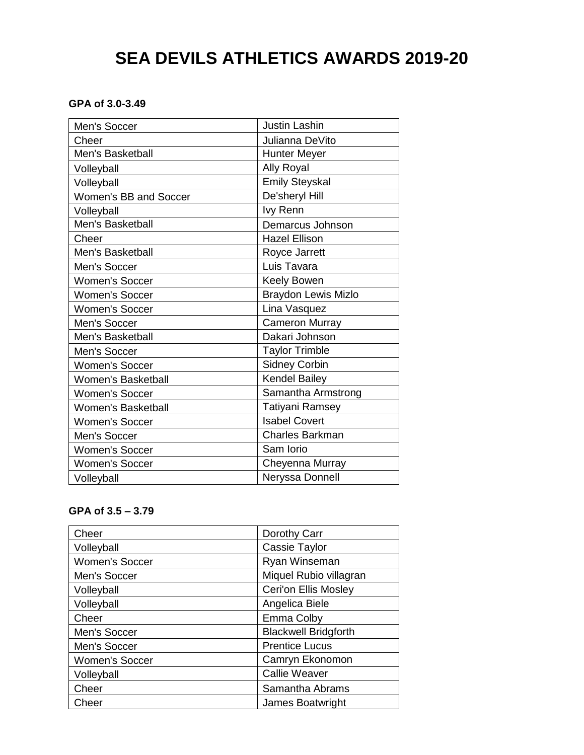# **SEA DEVILS ATHLETICS AWARDS 2019-20**

# **GPA of 3.0-3.49**

| Men's Soccer              | <b>Justin Lashin</b>       |
|---------------------------|----------------------------|
| Cheer                     | Julianna DeVito            |
| Men's Basketball          | <b>Hunter Meyer</b>        |
| Volleyball                | <b>Ally Royal</b>          |
| Volleyball                | <b>Emily Steyskal</b>      |
| Women's BB and Soccer     | De'sheryl Hill             |
| Volleyball                | lvy Renn                   |
| Men's Basketball          | Demarcus Johnson           |
| Cheer                     | <b>Hazel Ellison</b>       |
| Men's Basketball          | Royce Jarrett              |
| Men's Soccer              | Luis Tavara                |
| <b>Women's Soccer</b>     | <b>Keely Bowen</b>         |
| <b>Women's Soccer</b>     | <b>Braydon Lewis Mizlo</b> |
| <b>Women's Soccer</b>     | Lina Vasquez               |
| Men's Soccer              | <b>Cameron Murray</b>      |
| Men's Basketball          | Dakari Johnson             |
| Men's Soccer              | <b>Taylor Trimble</b>      |
| <b>Women's Soccer</b>     | <b>Sidney Corbin</b>       |
| <b>Women's Basketball</b> | <b>Kendel Bailey</b>       |
| <b>Women's Soccer</b>     | Samantha Armstrong         |
| <b>Women's Basketball</b> | <b>Tatiyani Ramsey</b>     |
| <b>Women's Soccer</b>     | <b>Isabel Covert</b>       |
| Men's Soccer              | <b>Charles Barkman</b>     |
| <b>Women's Soccer</b>     | Sam Iorio                  |
| <b>Women's Soccer</b>     | Cheyenna Murray            |
| Volleyball                | Neryssa Donnell            |

# **GPA of 3.5 – 3.79**

| Cheer                 | Dorothy Carr                |
|-----------------------|-----------------------------|
| Volleyball            | Cassie Taylor               |
| <b>Women's Soccer</b> | Ryan Winseman               |
| Men's Soccer          | Miquel Rubio villagran      |
| Volleyball            | <b>Ceri'on Ellis Mosley</b> |
| Volleyball            | Angelica Biele              |
| Cheer                 | Emma Colby                  |
| Men's Soccer          | <b>Blackwell Bridgforth</b> |
| Men's Soccer          | <b>Prentice Lucus</b>       |
| <b>Women's Soccer</b> | Camryn Ekonomon             |
| Volleyball            | <b>Callie Weaver</b>        |
| Cheer                 | Samantha Abrams             |
| Cheer                 | James Boatwright            |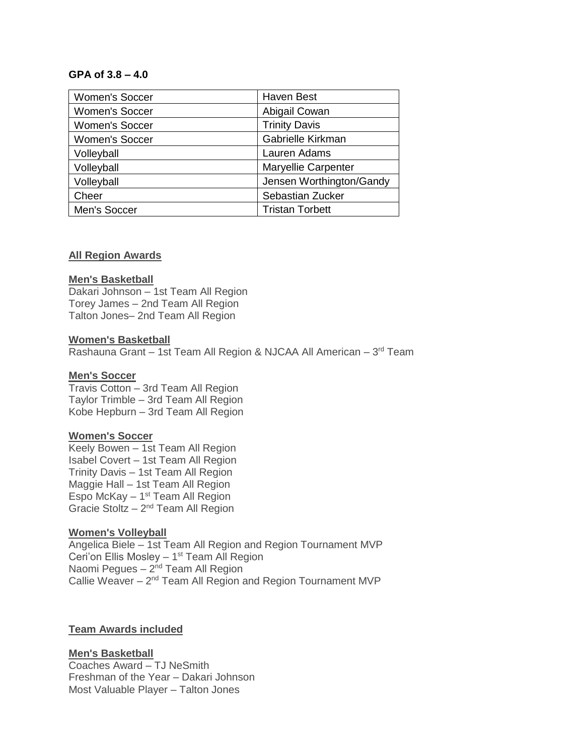# **GPA of 3.8 – 4.0**

| <b>Women's Soccer</b> | <b>Haven Best</b>          |
|-----------------------|----------------------------|
| <b>Women's Soccer</b> | Abigail Cowan              |
| <b>Women's Soccer</b> | <b>Trinity Davis</b>       |
| Women's Soccer        | Gabrielle Kirkman          |
| Volleyball            | Lauren Adams               |
| Volleyball            | <b>Maryellie Carpenter</b> |
| Volleyball            | Jensen Worthington/Gandy   |
| Cheer                 | Sebastian Zucker           |
| Men's Soccer          | <b>Tristan Torbett</b>     |

# **All Region Awards**

#### **Men's Basketball**

Dakari Johnson – 1st Team All Region Torey James – 2nd Team All Region Talton Jones– 2nd Team All Region

#### **Women's Basketball**

Rashauna Grant - 1st Team All Region & NJCAA All American - 3<sup>rd</sup> Team

#### **Men's Soccer**

Travis Cotton – 3rd Team All Region Taylor Trimble – 3rd Team All Region Kobe Hepburn – 3rd Team All Region

#### **Women's Soccer**

Keely Bowen – 1st Team All Region Isabel Covert – 1st Team All Region Trinity Davis – 1st Team All Region Maggie Hall – 1st Team All Region Espo McKay  $-1$ <sup>st</sup> Team All Region Gracie Stoltz  $-2^{nd}$  Team All Region

#### **Women's Volleyball**

Angelica Biele – 1st Team All Region and Region Tournament MVP Ceri'on Ellis Mosley - 1<sup>st</sup> Team All Region Naomi Pegues - 2<sup>nd</sup> Team All Region Callie Weaver - 2<sup>nd</sup> Team All Region and Region Tournament MVP

## **Team Awards included**

#### **Men's Basketball**

Coaches Award – TJ NeSmith Freshman of the Year – Dakari Johnson Most Valuable Player – Talton Jones